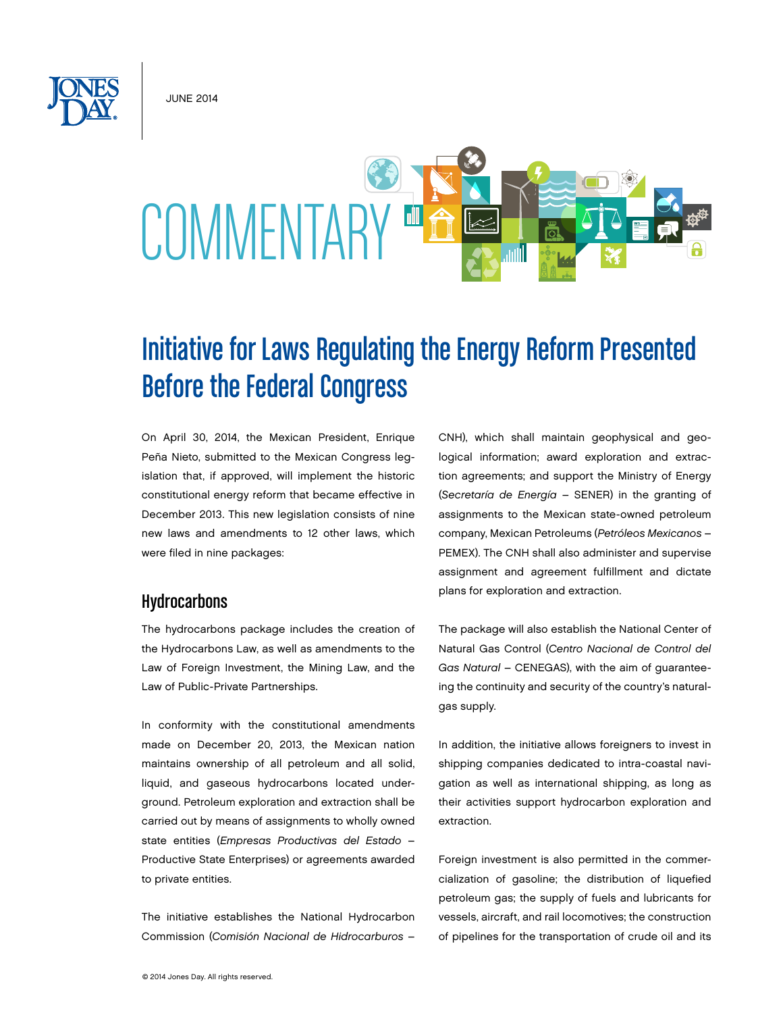June 2014

# COMMENTARY ™

# Initiative for Laws Regulating the Energy Reform Presented Before the Federal Congress

On April 30, 2014, the Mexican President, Enrique Peña Nieto, submitted to the Mexican Congress legislation that, if approved, will implement the historic constitutional energy reform that became effective in December 2013. This new legislation consists of nine new laws and amendments to 12 other laws, which were filed in nine packages:

# **Hydrocarbons**

The hydrocarbons package includes the creation of the Hydrocarbons Law, as well as amendments to the Law of Foreign Investment, the Mining Law, and the Law of Public-Private Partnerships.

In conformity with the constitutional amendments made on December 20, 2013, the Mexican nation maintains ownership of all petroleum and all solid, liquid, and gaseous hydrocarbons located underground. Petroleum exploration and extraction shall be carried out by means of assignments to wholly owned state entities (*Empresas Productivas del Estado* – Productive State Enterprises) or agreements awarded to private entities.

The initiative establishes the National Hydrocarbon Commission (*Comisión Nacional de Hidrocarburos* –

CNH), which shall maintain geophysical and geological information; award exploration and extraction agreements; and support the Ministry of Energy (*Secretaría de Energía* – SENER) in the granting of assignments to the Mexican state-owned petroleum company, Mexican Petroleums (*Petróleos Mexicanos* – PEMEX). The CNH shall also administer and supervise assignment and agreement fulfillment and dictate plans for exploration and extraction.

The package will also establish the National Center of Natural Gas Control (*Centro Nacional de Control del Gas Natural* – CENEGAS), with the aim of guaranteeing the continuity and security of the country's naturalgas supply.

In addition, the initiative allows foreigners to invest in shipping companies dedicated to intra-coastal navigation as well as international shipping, as long as their activities support hydrocarbon exploration and extraction.

Foreign investment is also permitted in the commercialization of gasoline; the distribution of liquefied petroleum gas; the supply of fuels and lubricants for vessels, aircraft, and rail locomotives; the construction of pipelines for the transportation of crude oil and its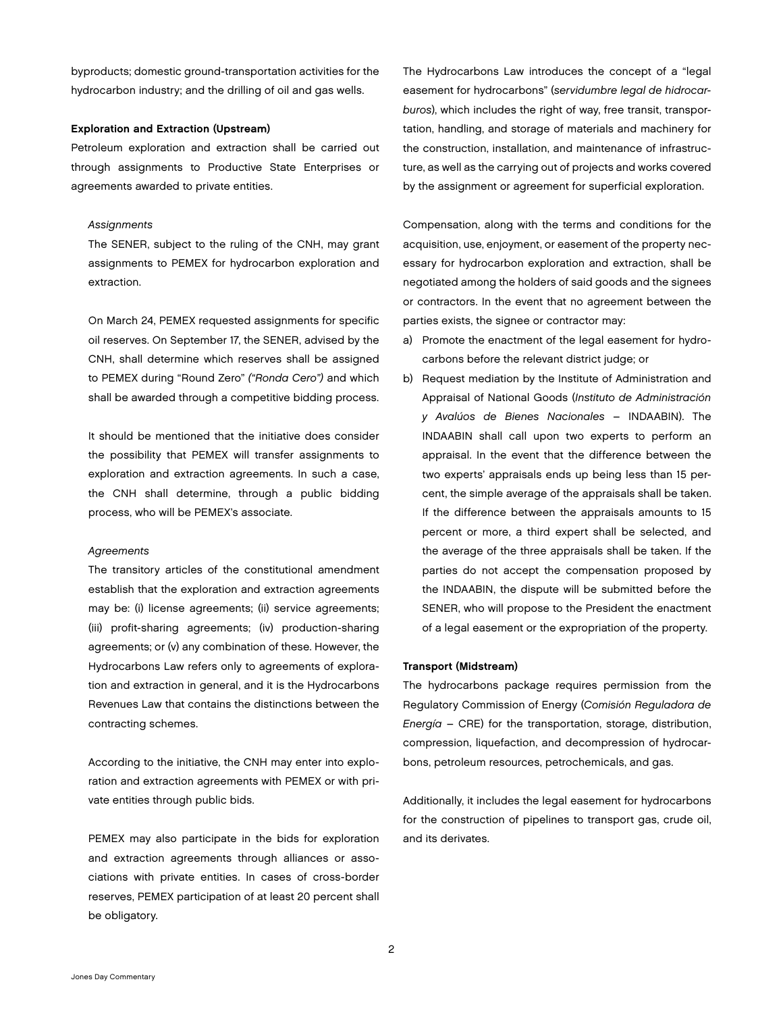byproducts; domestic ground-transportation activities for the hydrocarbon industry; and the drilling of oil and gas wells.

### Exploration and Extraction (Upstream)

Petroleum exploration and extraction shall be carried out through assignments to Productive State Enterprises or agreements awarded to private entities.

### *Assignments*

The SENER, subject to the ruling of the CNH, may grant assignments to PEMEX for hydrocarbon exploration and extraction.

On March 24, PEMEX requested assignments for specific oil reserves. On September 17, the SENER, advised by the CNH, shall determine which reserves shall be assigned to PEMEX during "Round Zero" *("Ronda Cero")* and which shall be awarded through a competitive bidding process.

It should be mentioned that the initiative does consider the possibility that PEMEX will transfer assignments to exploration and extraction agreements. In such a case, the CNH shall determine, through a public bidding process, who will be PEMEX's associate.

### *Agreements*

The transitory articles of the constitutional amendment establish that the exploration and extraction agreements may be: (i) license agreements; (ii) service agreements; (iii) profit-sharing agreements; (iv) production-sharing agreements; or (v) any combination of these. However, the Hydrocarbons Law refers only to agreements of exploration and extraction in general, and it is the Hydrocarbons Revenues Law that contains the distinctions between the contracting schemes.

According to the initiative, the CNH may enter into exploration and extraction agreements with PEMEX or with private entities through public bids.

PEMEX may also participate in the bids for exploration and extraction agreements through alliances or associations with private entities. In cases of cross-border reserves, PEMEX participation of at least 20 percent shall be obligatory.

The Hydrocarbons Law introduces the concept of a "legal easement for hydrocarbons" (*servidumbre legal de hidrocarburos*), which includes the right of way, free transit, transportation, handling, and storage of materials and machinery for the construction, installation, and maintenance of infrastructure, as well as the carrying out of projects and works covered by the assignment or agreement for superficial exploration.

Compensation, along with the terms and conditions for the acquisition, use, enjoyment, or easement of the property necessary for hydrocarbon exploration and extraction, shall be negotiated among the holders of said goods and the signees or contractors. In the event that no agreement between the parties exists, the signee or contractor may:

- a) Promote the enactment of the legal easement for hydrocarbons before the relevant district judge; or
- b) Request mediation by the Institute of Administration and Appraisal of National Goods (*Instituto de Administración y Avalúos de Bienes Nacionales* – INDAABIN). The INDAABIN shall call upon two experts to perform an appraisal. In the event that the difference between the two experts' appraisals ends up being less than 15 percent, the simple average of the appraisals shall be taken. If the difference between the appraisals amounts to 15 percent or more, a third expert shall be selected, and the average of the three appraisals shall be taken. If the parties do not accept the compensation proposed by the INDAABIN, the dispute will be submitted before the SENER, who will propose to the President the enactment of a legal easement or the expropriation of the property.

### Transport (Midstream)

The hydrocarbons package requires permission from the Regulatory Commission of Energy (*Comisión Reguladora de Energía* – CRE) for the transportation, storage, distribution, compression, liquefaction, and decompression of hydrocarbons, petroleum resources, petrochemicals, and gas.

Additionally, it includes the legal easement for hydrocarbons for the construction of pipelines to transport gas, crude oil, and its derivates.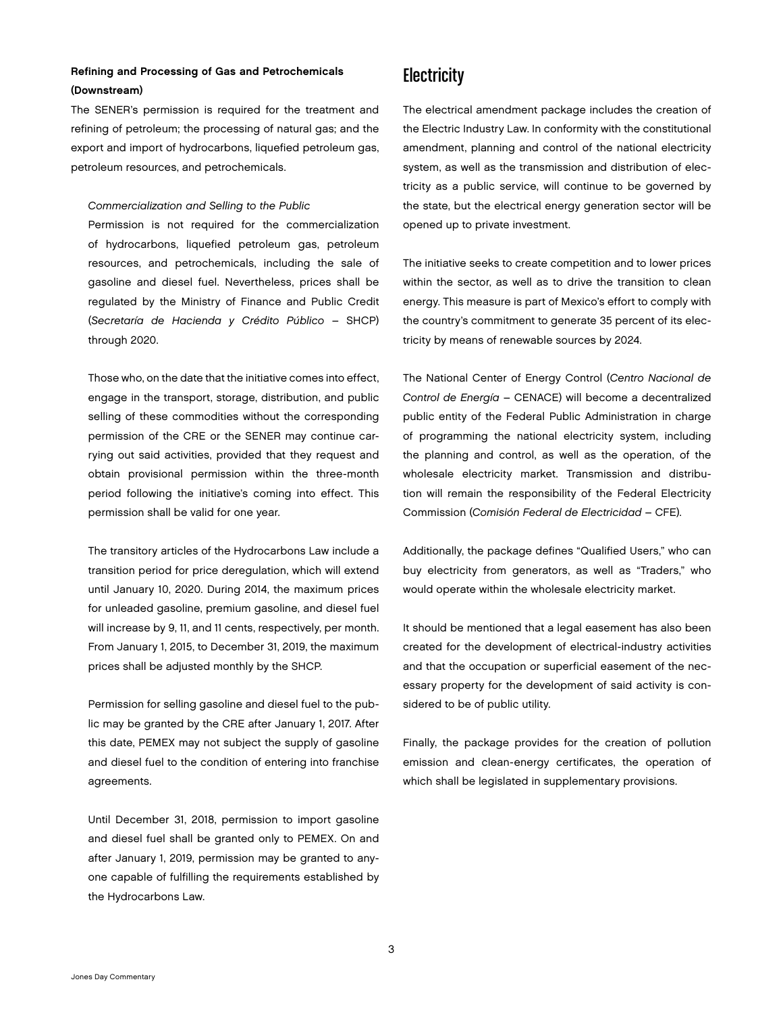### Refining and Processing of Gas and Petrochemicals (Downstream)

The SENER's permission is required for the treatment and refining of petroleum; the processing of natural gas; and the export and import of hydrocarbons, liquefied petroleum gas, petroleum resources, and petrochemicals.

### *Commercialization and Selling to the Public*

Permission is not required for the commercialization of hydrocarbons, liquefied petroleum gas, petroleum resources, and petrochemicals, including the sale of gasoline and diesel fuel. Nevertheless, prices shall be regulated by the Ministry of Finance and Public Credit (*Secretaría de Hacienda y Crédito Público* – SHCP) through 2020.

Those who, on the date that the initiative comes into effect, engage in the transport, storage, distribution, and public selling of these commodities without the corresponding permission of the CRE or the SENER may continue carrying out said activities, provided that they request and obtain provisional permission within the three-month period following the initiative's coming into effect. This permission shall be valid for one year.

The transitory articles of the Hydrocarbons Law include a transition period for price deregulation, which will extend until January 10, 2020. During 2014, the maximum prices for unleaded gasoline, premium gasoline, and diesel fuel will increase by 9, 11, and 11 cents, respectively, per month. From January 1, 2015, to December 31, 2019, the maximum prices shall be adjusted monthly by the SHCP.

Permission for selling gasoline and diesel fuel to the public may be granted by the CRE after January 1, 2017. After this date, PEMEX may not subject the supply of gasoline and diesel fuel to the condition of entering into franchise agreements.

Until December 31, 2018, permission to import gasoline and diesel fuel shall be granted only to PEMEX. On and after January 1, 2019, permission may be granted to anyone capable of fulfilling the requirements established by the Hydrocarbons Law.

# **Electricity**

The electrical amendment package includes the creation of the Electric Industry Law. In conformity with the constitutional amendment, planning and control of the national electricity system, as well as the transmission and distribution of electricity as a public service, will continue to be governed by the state, but the electrical energy generation sector will be opened up to private investment.

The initiative seeks to create competition and to lower prices within the sector, as well as to drive the transition to clean energy. This measure is part of Mexico's effort to comply with the country's commitment to generate 35 percent of its electricity by means of renewable sources by 2024.

The National Center of Energy Control (*Centro Nacional de Control de Energía* – CENACE) will become a decentralized public entity of the Federal Public Administration in charge of programming the national electricity system, including the planning and control, as well as the operation, of the wholesale electricity market. Transmission and distribution will remain the responsibility of the Federal Electricity Commission (*Comisión Federal de Electricidad* – CFE).

Additionally, the package defines "Qualified Users," who can buy electricity from generators, as well as "Traders," who would operate within the wholesale electricity market.

It should be mentioned that a legal easement has also been created for the development of electrical-industry activities and that the occupation or superficial easement of the necessary property for the development of said activity is considered to be of public utility.

Finally, the package provides for the creation of pollution emission and clean-energy certificates, the operation of which shall be legislated in supplementary provisions.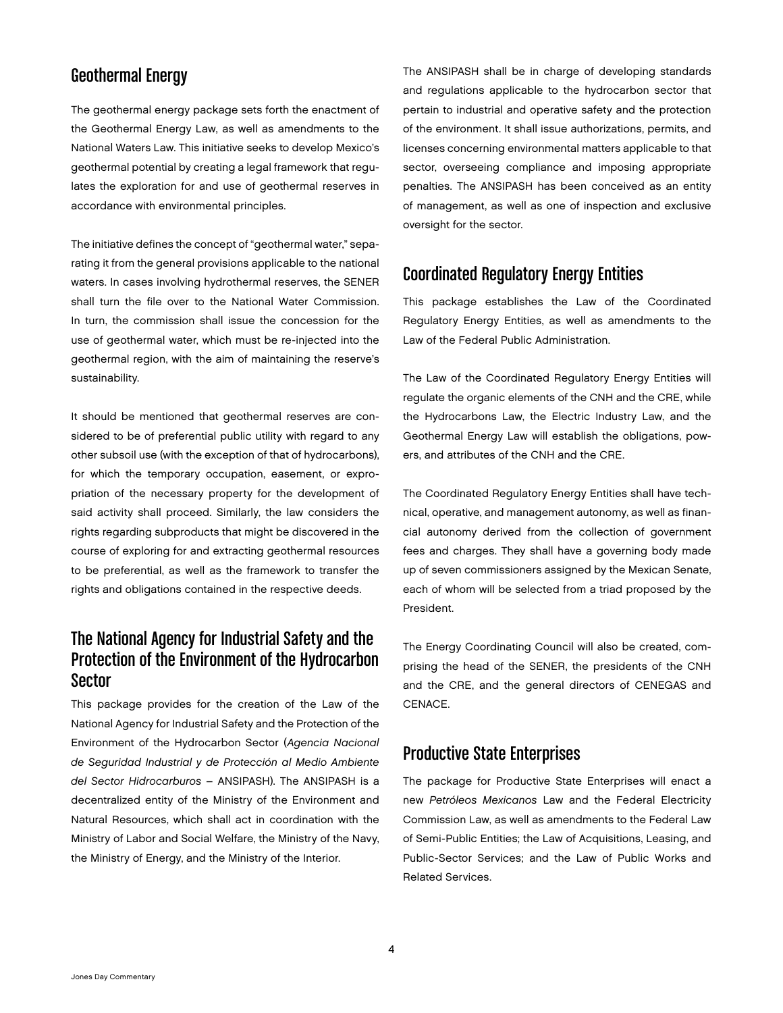# Geothermal Energy

The geothermal energy package sets forth the enactment of the Geothermal Energy Law, as well as amendments to the National Waters Law. This initiative seeks to develop Mexico's geothermal potential by creating a legal framework that regulates the exploration for and use of geothermal reserves in accordance with environmental principles.

The initiative defines the concept of "geothermal water," separating it from the general provisions applicable to the national waters. In cases involving hydrothermal reserves, the SENER shall turn the file over to the National Water Commission. In turn, the commission shall issue the concession for the use of geothermal water, which must be re-injected into the geothermal region, with the aim of maintaining the reserve's sustainability.

It should be mentioned that geothermal reserves are considered to be of preferential public utility with regard to any other subsoil use (with the exception of that of hydrocarbons), for which the temporary occupation, easement, or expropriation of the necessary property for the development of said activity shall proceed. Similarly, the law considers the rights regarding subproducts that might be discovered in the course of exploring for and extracting geothermal resources to be preferential, as well as the framework to transfer the rights and obligations contained in the respective deeds.

# The National Agency for Industrial Safety and the Protection of the Environment of the Hydrocarbon Sector

This package provides for the creation of the Law of the National Agency for Industrial Safety and the Protection of the Environment of the Hydrocarbon Sector (*Agencia Nacional de Seguridad Industrial y de Protección al Medio Ambiente del Sector Hidrocarburos* – ANSIPASH). The ANSIPASH is a decentralized entity of the Ministry of the Environment and Natural Resources, which shall act in coordination with the Ministry of Labor and Social Welfare, the Ministry of the Navy, the Ministry of Energy, and the Ministry of the Interior.

The ANSIPASH shall be in charge of developing standards and regulations applicable to the hydrocarbon sector that pertain to industrial and operative safety and the protection of the environment. It shall issue authorizations, permits, and licenses concerning environmental matters applicable to that sector, overseeing compliance and imposing appropriate penalties. The ANSIPASH has been conceived as an entity of management, as well as one of inspection and exclusive oversight for the sector.

# Coordinated Regulatory Energy Entities

This package establishes the Law of the Coordinated Regulatory Energy Entities, as well as amendments to the Law of the Federal Public Administration.

The Law of the Coordinated Regulatory Energy Entities will regulate the organic elements of the CNH and the CRE, while the Hydrocarbons Law, the Electric Industry Law, and the Geothermal Energy Law will establish the obligations, powers, and attributes of the CNH and the CRE.

The Coordinated Regulatory Energy Entities shall have technical, operative, and management autonomy, as well as financial autonomy derived from the collection of government fees and charges. They shall have a governing body made up of seven commissioners assigned by the Mexican Senate, each of whom will be selected from a triad proposed by the President.

The Energy Coordinating Council will also be created, comprising the head of the SENER, the presidents of the CNH and the CRE, and the general directors of CENEGAS and CENACE.

# Productive State Enterprises

The package for Productive State Enterprises will enact a new *Petróleos Mexicanos* Law and the Federal Electricity Commission Law, as well as amendments to the Federal Law of Semi-Public Entities; the Law of Acquisitions, Leasing, and Public-Sector Services; and the Law of Public Works and Related Services.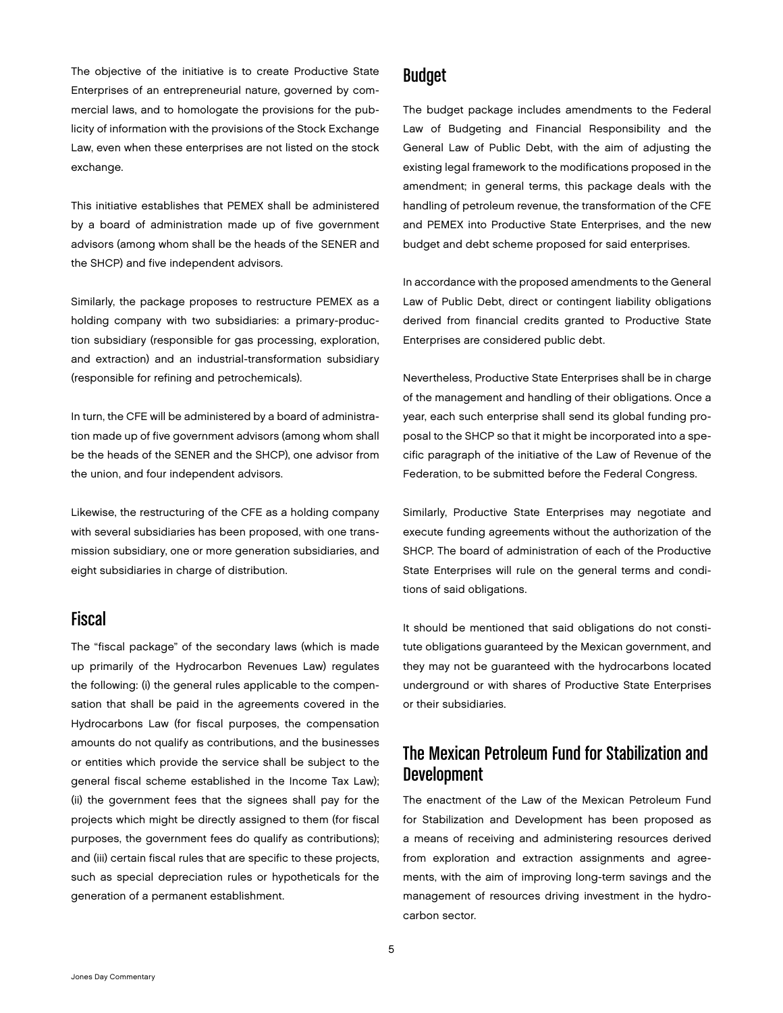The objective of the initiative is to create Productive State Enterprises of an entrepreneurial nature, governed by commercial laws, and to homologate the provisions for the publicity of information with the provisions of the Stock Exchange Law, even when these enterprises are not listed on the stock exchange.

This initiative establishes that PEMEX shall be administered by a board of administration made up of five government advisors (among whom shall be the heads of the SENER and the SHCP) and five independent advisors.

Similarly, the package proposes to restructure PEMEX as a holding company with two subsidiaries: a primary-production subsidiary (responsible for gas processing, exploration, and extraction) and an industrial-transformation subsidiary (responsible for refining and petrochemicals).

In turn, the CFE will be administered by a board of administration made up of five government advisors (among whom shall be the heads of the SENER and the SHCP), one advisor from the union, and four independent advisors.

Likewise, the restructuring of the CFE as a holding company with several subsidiaries has been proposed, with one transmission subsidiary, one or more generation subsidiaries, and eight subsidiaries in charge of distribution.

# Fiscal

The "fiscal package" of the secondary laws (which is made up primarily of the Hydrocarbon Revenues Law) regulates the following: (i) the general rules applicable to the compensation that shall be paid in the agreements covered in the Hydrocarbons Law (for fiscal purposes, the compensation amounts do not qualify as contributions, and the businesses or entities which provide the service shall be subject to the general fiscal scheme established in the Income Tax Law); (ii) the government fees that the signees shall pay for the projects which might be directly assigned to them (for fiscal purposes, the government fees do qualify as contributions); and (iii) certain fiscal rules that are specific to these projects, such as special depreciation rules or hypotheticals for the generation of a permanent establishment.

## Budget

The budget package includes amendments to the Federal Law of Budgeting and Financial Responsibility and the General Law of Public Debt, with the aim of adjusting the existing legal framework to the modifications proposed in the amendment; in general terms, this package deals with the handling of petroleum revenue, the transformation of the CFE and PEMEX into Productive State Enterprises, and the new budget and debt scheme proposed for said enterprises.

In accordance with the proposed amendments to the General Law of Public Debt, direct or contingent liability obligations derived from financial credits granted to Productive State Enterprises are considered public debt.

Nevertheless, Productive State Enterprises shall be in charge of the management and handling of their obligations. Once a year, each such enterprise shall send its global funding proposal to the SHCP so that it might be incorporated into a specific paragraph of the initiative of the Law of Revenue of the Federation, to be submitted before the Federal Congress.

Similarly, Productive State Enterprises may negotiate and execute funding agreements without the authorization of the SHCP. The board of administration of each of the Productive State Enterprises will rule on the general terms and conditions of said obligations.

It should be mentioned that said obligations do not constitute obligations guaranteed by the Mexican government, and they may not be guaranteed with the hydrocarbons located underground or with shares of Productive State Enterprises or their subsidiaries.

# The Mexican Petroleum Fund for Stabilization and Development

The enactment of the Law of the Mexican Petroleum Fund for Stabilization and Development has been proposed as a means of receiving and administering resources derived from exploration and extraction assignments and agreements, with the aim of improving long-term savings and the management of resources driving investment in the hydrocarbon sector.